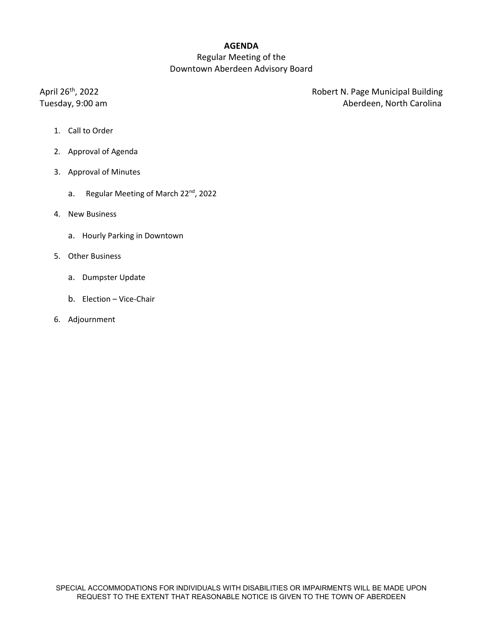## **AGENDA**

# Regular Meeting of the Downtown Aberdeen Advisory Board

April 26<sup>th</sup>, 2022 **April 26th, 2022 Robert N. Page Municipal Building** Tuesday, 9:00 am **Aberdeen, North Carolina** 

- 1. Call to Order
- 2. Approval of Agenda
- 3. Approval of Minutes
	- a. Regular Meeting of March 22<sup>nd</sup>, 2022
- 4. New Business
	- a. Hourly Parking in Downtown
- 5. Other Business
	- a. Dumpster Update
	- b. Election Vice-Chair
- 6. Adjournment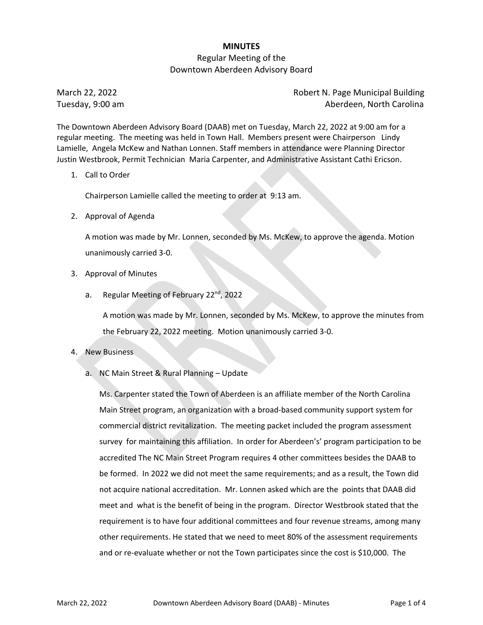## **MINUTES**

## Regular Meeting of the Downtown Aberdeen Advisory Board

March 22, 2022 Robert N. Page Municipal Building Tuesday, 9:00 am Aberdeen, North Carolina

The Downtown Aberdeen Advisory Board (DAAB) met on Tuesday, March 22, 2022 at 9:00 am for a regular meeting. The meeting was held in Town Hall. Members present were Chairperson Lindy Lamielle, Angela McKew and Nathan Lonnen. Staff members in attendance were Planning Director Justin Westbrook, Permit Technician Maria Carpenter, and Administrative Assistant Cathi Ericson.

1. Call to Order

Chairperson Lamielle called the meeting to order at 9:13 am.

2. Approval of Agenda

A motion was made by Mr. Lonnen, seconded by Ms. McKew, to approve the agenda. Motion unanimously carried 3‐0.

- 3. Approval of Minutes
	- a. Regular Meeting of February 22<sup>nd</sup>, 2022

A motion was made by Mr. Lonnen, seconded by Ms. McKew, to approve the minutes from the February 22, 2022 meeting. Motion unanimously carried 3‐0.

- 4. New Business
	- a. NC Main Street & Rural Planning Update

Ms. Carpenter stated the Town of Aberdeen is an affiliate member of the North Carolina Main Street program, an organization with a broad‐based community support system for commercial district revitalization. The meeting packet included the program assessment survey for maintaining this affiliation. In order for Aberdeen's' program participation to be accredited The NC Main Street Program requires 4 other committees besides the DAAB to be formed. In 2022 we did not meet the same requirements; and as a result, the Town did not acquire national accreditation. Mr. Lonnen asked which are the points that DAAB did meet and what is the benefit of being in the program. Director Westbrook stated that the requirement is to have four additional committees and four revenue streams, among many other requirements. He stated that we need to meet 80% of the assessment requirements and or re-evaluate whether or not the Town participates since the cost is \$10,000. The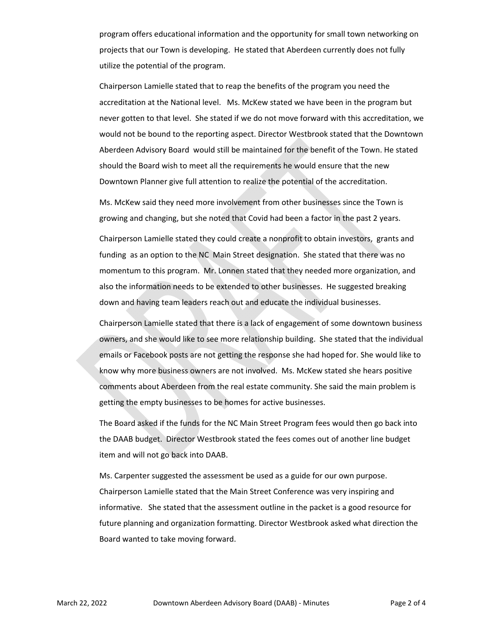program offers educational information and the opportunity for small town networking on projects that our Town is developing. He stated that Aberdeen currently does not fully utilize the potential of the program.

Chairperson Lamielle stated that to reap the benefits of the program you need the accreditation at the National level. Ms. McKew stated we have been in the program but never gotten to that level. She stated if we do not move forward with this accreditation, we would not be bound to the reporting aspect. Director Westbrook stated that the Downtown Aberdeen Advisory Board would still be maintained for the benefit of the Town. He stated should the Board wish to meet all the requirements he would ensure that the new Downtown Planner give full attention to realize the potential of the accreditation.

Ms. McKew said they need more involvement from other businesses since the Town is growing and changing, but she noted that Covid had been a factor in the past 2 years.

Chairperson Lamielle stated they could create a nonprofit to obtain investors, grants and funding as an option to the NC Main Street designation. She stated that there was no momentum to this program. Mr. Lonnen stated that they needed more organization, and also the information needs to be extended to other businesses. He suggested breaking down and having team leaders reach out and educate the individual businesses.

Chairperson Lamielle stated that there is a lack of engagement of some downtown business owners, and she would like to see more relationship building. She stated that the individual emails or Facebook posts are not getting the response she had hoped for. She would like to know why more business owners are not involved. Ms. McKew stated she hears positive comments about Aberdeen from the real estate community. She said the main problem is getting the empty businesses to be homes for active businesses.

The Board asked if the funds for the NC Main Street Program fees would then go back into the DAAB budget. Director Westbrook stated the fees comes out of another line budget item and will not go back into DAAB.

Ms. Carpenter suggested the assessment be used as a guide for our own purpose. Chairperson Lamielle stated that the Main Street Conference was very inspiring and informative. She stated that the assessment outline in the packet is a good resource for future planning and organization formatting. Director Westbrook asked what direction the Board wanted to take moving forward.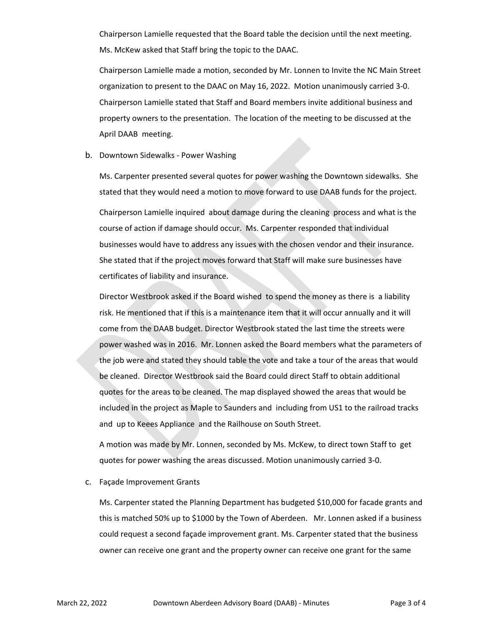Chairperson Lamielle requested that the Board table the decision until the next meeting. Ms. McKew asked that Staff bring the topic to the DAAC.

Chairperson Lamielle made a motion, seconded by Mr. Lonnen to Invite the NC Main Street organization to present to the DAAC on May 16, 2022. Motion unanimously carried 3‐0. Chairperson Lamielle stated that Staff and Board members invite additional business and property owners to the presentation. The location of the meeting to be discussed at the April DAAB meeting.

#### b. Downtown Sidewalks ‐ Power Washing

Ms. Carpenter presented several quotes for power washing the Downtown sidewalks. She stated that they would need a motion to move forward to use DAAB funds for the project. Chairperson Lamielle inquired about damage during the cleaning process and what is the course of action if damage should occur. Ms. Carpenter responded that individual businesses would have to address any issues with the chosen vendor and their insurance. She stated that if the project moves forward that Staff will make sure businesses have certificates of liability and insurance.

Director Westbrook asked if the Board wished to spend the money as there is a liability risk. He mentioned that if this is a maintenance item that it will occur annually and it will come from the DAAB budget. Director Westbrook stated the last time the streets were power washed was in 2016. Mr. Lonnen asked the Board members what the parameters of the job were and stated they should table the vote and take a tour of the areas that would be cleaned. Director Westbrook said the Board could direct Staff to obtain additional quotes for the areas to be cleaned. The map displayed showed the areas that would be included in the project as Maple to Saunders and including from US1 to the railroad tracks and up to Keees Appliance and the Railhouse on South Street.

A motion was made by Mr. Lonnen, seconded by Ms. McKew, to direct town Staff to get quotes for power washing the areas discussed. Motion unanimously carried 3‐0.

#### c. Façade Improvement Grants

Ms. Carpenter stated the Planning Department has budgeted \$10,000 for facade grants and this is matched 50% up to \$1000 by the Town of Aberdeen. Mr. Lonnen asked if a business could request a second façade improvement grant. Ms. Carpenter stated that the business owner can receive one grant and the property owner can receive one grant for the same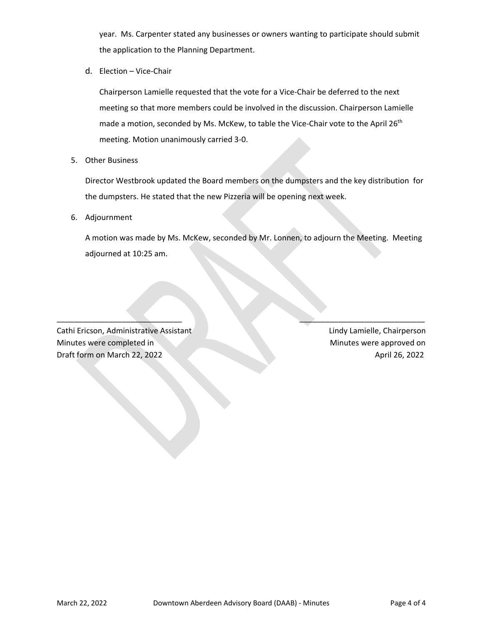year. Ms. Carpenter stated any businesses or owners wanting to participate should submit the application to the Planning Department.

d. Election – Vice‐Chair

Chairperson Lamielle requested that the vote for a Vice‐Chair be deferred to the next meeting so that more members could be involved in the discussion. Chairperson Lamielle made a motion, seconded by Ms. McKew, to table the Vice-Chair vote to the April 26<sup>th</sup> meeting. Motion unanimously carried 3‐0.

5. Other Business

Director Westbrook updated the Board members on the dumpsters and the key distribution for the dumpsters. He stated that the new Pizzeria will be opening next week.

6. Adjournment

A motion was made by Ms. McKew, seconded by Mr. Lonnen, to adjourn the Meeting. Meeting adjourned at 10:25 am.

\_\_\_\_\_\_\_\_\_\_\_\_\_\_\_\_\_\_\_\_\_\_\_\_\_\_\_\_\_ \_\_\_\_\_\_\_\_\_\_\_\_\_\_\_\_\_\_\_\_\_\_\_\_\_\_\_\_\_

Cathi Ericson, Administrative Assistant **1999** Lindy Lamielle, Chairperson Minutes were completed in *Minutes were approved on* Draft form on March 22, 2022 April 26, 2022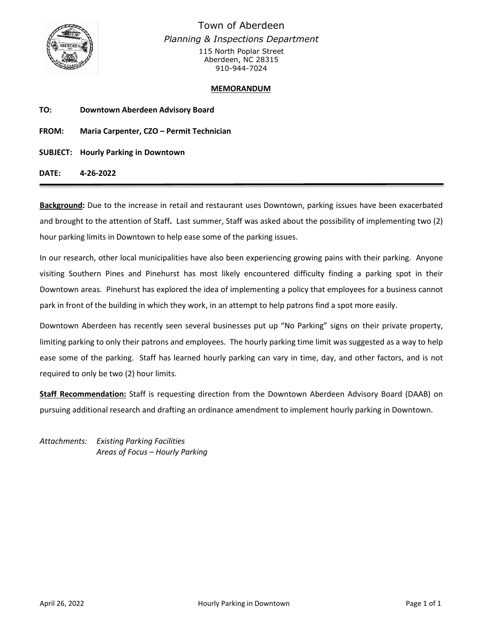

Town of Aberdeen *Planning & Inspections Department* 115 North Poplar Street Aberdeen, NC 28315 910-944-7024

## **MEMORANDUM**

| TO:          | Downtown Aberdeen Advisory Board           |
|--------------|--------------------------------------------|
| <b>FROM:</b> | Maria Carpenter, CZO - Permit Technician   |
|              | <b>SUBJECT: Hourly Parking in Downtown</b> |

**DATE: 4-26-2022**

**Background:** Due to the increase in retail and restaurant uses Downtown, parking issues have been exacerbated and brought to the attention of Staff**.** Last summer, Staff was asked about the possibility of implementing two (2) hour parking limits in Downtown to help ease some of the parking issues.

In our research, other local municipalities have also been experiencing growing pains with their parking. Anyone visiting Southern Pines and Pinehurst has most likely encountered difficulty finding a parking spot in their Downtown areas. Pinehurst has explored the idea of implementing a policy that employees for a business cannot park in front of the building in which they work, in an attempt to help patrons find a spot more easily.

Downtown Aberdeen has recently seen several businesses put up "No Parking" signs on their private property, limiting parking to only their patrons and employees. The hourly parking time limit was suggested as a way to help ease some of the parking. Staff has learned hourly parking can vary in time, day, and other factors, and is not required to only be two (2) hour limits.

**Staff Recommendation:** Staff is requesting direction from the Downtown Aberdeen Advisory Board (DAAB) on pursuing additional research and drafting an ordinance amendment to implement hourly parking in Downtown.

*Attachments: Existing Parking Facilities Areas of Focus – Hourly Parking*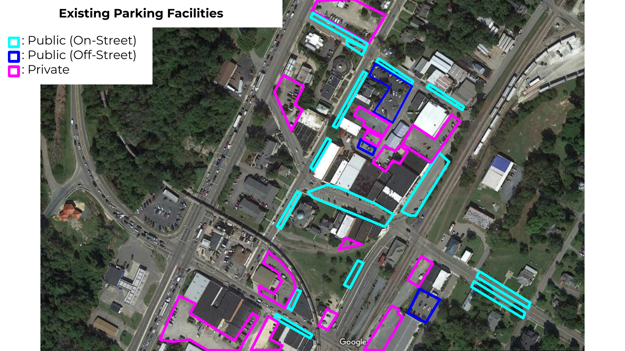